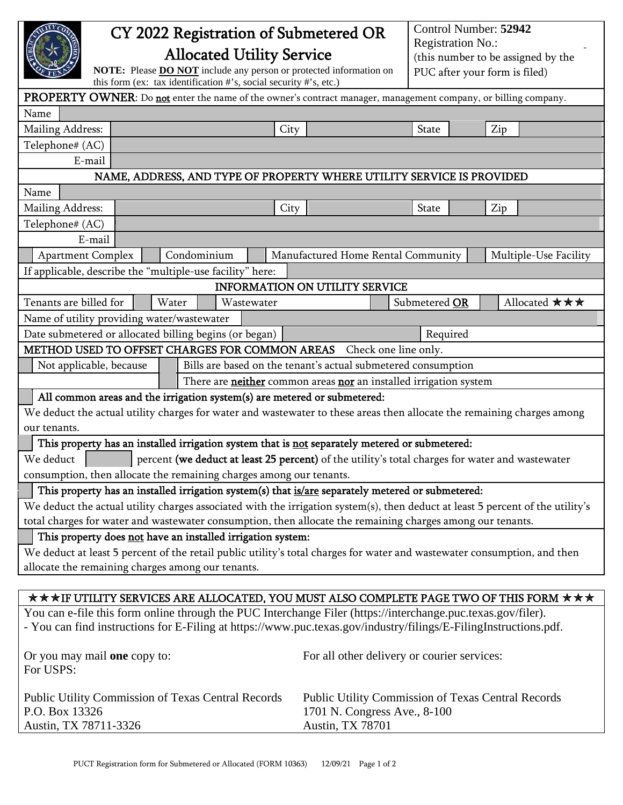|                                                                                                                                |                                             | Control Number: 52942 |                                                                |  |
|--------------------------------------------------------------------------------------------------------------------------------|---------------------------------------------|-----------------------|----------------------------------------------------------------|--|
|                                                                                                                                | CY 2022 Registration of Submetered OR       |                       |                                                                |  |
| <b>Allocated Utility Service</b>                                                                                               |                                             |                       | <b>Registration No.:</b><br>(this number to be assigned by the |  |
| NOTE: Please <b>DO NOT</b> include any person or protected information on                                                      |                                             |                       |                                                                |  |
| this form (ex: tax identification #'s, social security #'s, etc.)                                                              |                                             |                       | PUC after your form is filed)                                  |  |
| PROPERTY OWNER: Do not enter the name of the owner's contract manager, management company, or billing company.                 |                                             |                       |                                                                |  |
| Name                                                                                                                           |                                             |                       |                                                                |  |
| Mailing Address:<br>City                                                                                                       |                                             | State                 | Zip                                                            |  |
| Telephone# (AC)                                                                                                                |                                             |                       |                                                                |  |
| E-mail                                                                                                                         |                                             |                       |                                                                |  |
| NAME, ADDRESS, AND TYPE OF PROPERTY WHERE UTILITY SERVICE IS PROVIDED                                                          |                                             |                       |                                                                |  |
| Name                                                                                                                           |                                             |                       |                                                                |  |
| Mailing Address:<br>City                                                                                                       |                                             | State                 | Zip                                                            |  |
| Telephone# (AC)                                                                                                                |                                             |                       |                                                                |  |
| E-mail                                                                                                                         |                                             |                       |                                                                |  |
| Condominium<br><b>Apartment Complex</b>                                                                                        | Manufactured Home Rental Community          |                       | Multiple-Use Facility                                          |  |
| If applicable, describe the "multiple-use facility" here:                                                                      |                                             |                       |                                                                |  |
|                                                                                                                                | <b>INFORMATION ON UTILITY SERVICE</b>       |                       |                                                                |  |
| Tenants are billed for<br>Water                                                                                                |                                             |                       | Allocated ***                                                  |  |
| Wastewater                                                                                                                     |                                             | Submetered OR         |                                                                |  |
| Name of utility providing water/wastewater                                                                                     |                                             |                       |                                                                |  |
| Date submetered or allocated billing begins (or began)                                                                         |                                             | Required              |                                                                |  |
| METHOD USED TO OFFSET CHARGES FOR COMMON AREAS Check one line only.                                                            |                                             |                       |                                                                |  |
| Bills are based on the tenant's actual submetered consumption<br>Not applicable, because                                       |                                             |                       |                                                                |  |
| There are <b>neither</b> common areas nor an installed irrigation system                                                       |                                             |                       |                                                                |  |
| All common areas and the irrigation system(s) are metered or submetered:                                                       |                                             |                       |                                                                |  |
| We deduct the actual utility charges for water and wastewater to these areas then allocate the remaining charges among         |                                             |                       |                                                                |  |
| our tenants.                                                                                                                   |                                             |                       |                                                                |  |
| This property has an installed irrigation system that is not separately metered or submetered:                                 |                                             |                       |                                                                |  |
| We deduct<br>percent (we deduct at least 25 percent) of the utility's total charges for water and wastewater                   |                                             |                       |                                                                |  |
| consumption, then allocate the remaining charges among our tenants.                                                            |                                             |                       |                                                                |  |
| This property has an installed irrigation system(s) that is/are separately metered or submetered:                              |                                             |                       |                                                                |  |
| We deduct the actual utility charges associated with the irrigation system(s), then deduct at least 5 percent of the utility's |                                             |                       |                                                                |  |
| total charges for water and wastewater consumption, then allocate the remaining charges among our tenants.                     |                                             |                       |                                                                |  |
| This property does not have an installed irrigation system:                                                                    |                                             |                       |                                                                |  |
| We deduct at least 5 percent of the retail public utility's total charges for water and wastewater consumption, and then       |                                             |                       |                                                                |  |
| allocate the remaining charges among our tenants.                                                                              |                                             |                       |                                                                |  |
|                                                                                                                                |                                             |                       |                                                                |  |
| $\star \star \star$ IF UTILITY SERVICES ARE ALLOCATED, YOU MUST ALSO COMPLETE PAGE TWO OF THIS FORM $\star \star \star$        |                                             |                       |                                                                |  |
| You can e-file this form online through the PUC Interchange Filer (https://interchange.puc.texas.gov/filer).                   |                                             |                       |                                                                |  |
| - You can find instructions for E-Filing at https://www.puc.texas.gov/industry/filings/E-FilingInstructions.pdf.               |                                             |                       |                                                                |  |
|                                                                                                                                |                                             |                       |                                                                |  |
| Or you may mail one copy to:                                                                                                   | For all other delivery or courier services: |                       |                                                                |  |
| For USPS:                                                                                                                      |                                             |                       |                                                                |  |
|                                                                                                                                |                                             |                       |                                                                |  |
| Public Utility Commission of Texas Central Records<br><b>Public Utility Commission of Texas Central Records</b>                |                                             |                       |                                                                |  |
| P.O. Box 13326                                                                                                                 | 1701 N. Congress Ave., 8-100                |                       |                                                                |  |
| Austin, TX 78711-3326                                                                                                          | Austin, TX 78701                            |                       |                                                                |  |